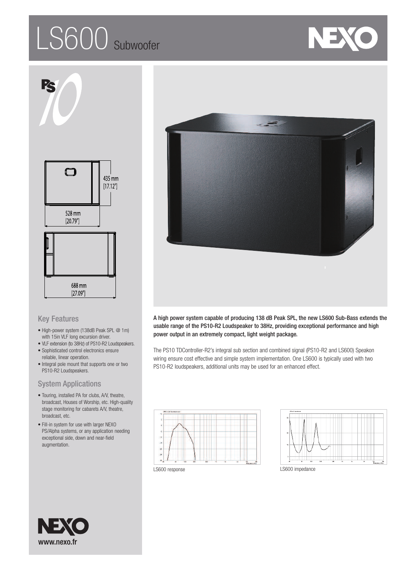# LS600 subwoofer





## Key Features

- High-power system (138dB Peak SPL @ 1m) with 15in VLF long excursion driver.
- VLF extension (to 38Hz) of PS10-R2 Loudspeakers.
- Sophisticated control electronics ensure reliable, linear operation.
- Integral pole mount that supports one or two PS10-R2 Loudspeakers.

## System Applications

- Touring, installed PA for clubs, A/V, theatre, broadcast, Houses of Worship, etc. High-quality stage monitoring for cabarets A/V, theatre, broadcast, etc.
- Fill-in system for use with larger NEXO PS/Alpha systems, or any application needing exceptional side, down and near-field augmentation.



A high power system capable of producing 138 dB Peak SPL, the new LS600 Sub-Bass extends the usable range of the PS10-R2 Loudspeaker to 38Hz, providing exceptional performance and high power output in an extremely compact, light weight package.

The PS10 TDController-R2's integral sub section and combined signal (PS10-R2 and LS600) Speakon wiring ensure cost effective and simple system implementation. One LS600 is typically used with two PS10-R2 loudspeakers, additional units may be used for an enhanced effect.